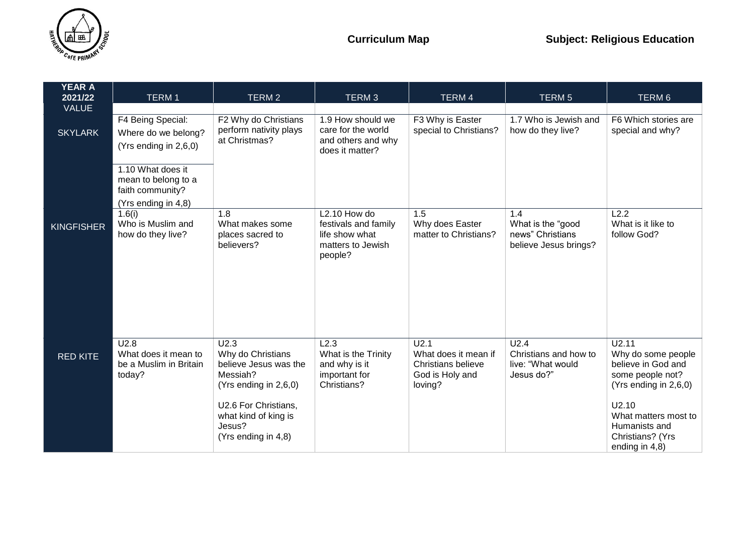

| <b>YEAR A</b><br>2021/22 | <b>TERM1</b>                                                                        | TERM <sub>2</sub>                                                                       | TERM <sub>3</sub>                                                            | <b>TERM4</b>                                                                                         | TERM <sub>5</sub>                                                            | TERM 6                                                                                            |
|--------------------------|-------------------------------------------------------------------------------------|-----------------------------------------------------------------------------------------|------------------------------------------------------------------------------|------------------------------------------------------------------------------------------------------|------------------------------------------------------------------------------|---------------------------------------------------------------------------------------------------|
| <b>VALUE</b>             |                                                                                     |                                                                                         |                                                                              |                                                                                                      |                                                                              |                                                                                                   |
|                          | F4 Being Special:                                                                   | F2 Why do Christians<br>perform nativity plays                                          | 1.9 How should we<br>care for the world                                      | F3 Why is Easter<br>special to Christians?                                                           | 1.7 Who is Jewish and<br>how do they live?                                   | F6 Which stories are<br>special and why?                                                          |
| <b>SKYLARK</b>           | Where do we belong?<br>(Yrs ending in 2,6,0)                                        | at Christmas?                                                                           | and others and why<br>does it matter?                                        |                                                                                                      |                                                                              |                                                                                                   |
|                          | 1.10 What does it<br>mean to belong to a<br>faith community?<br>(Yrs ending in 4,8) |                                                                                         |                                                                              |                                                                                                      |                                                                              |                                                                                                   |
|                          | 1.6(i)<br>Who is Muslim and                                                         | 1.8<br>What makes some                                                                  | L <sub>2.10</sub> How do<br>festivals and family                             | 1.5<br>Why does Easter                                                                               | 1.4<br>What is the "good                                                     | L2.2<br>What is it like to                                                                        |
| <b>KINGFISHER</b>        | how do they live?                                                                   | places sacred to<br>believers?                                                          | life show what<br>matters to Jewish<br>people?                               | matter to Christians?                                                                                | news" Christians<br>believe Jesus brings?                                    | follow God?                                                                                       |
|                          |                                                                                     |                                                                                         |                                                                              |                                                                                                      |                                                                              |                                                                                                   |
|                          |                                                                                     |                                                                                         |                                                                              |                                                                                                      |                                                                              |                                                                                                   |
| <b>RED KITE</b>          | U2.8<br>What does it mean to<br>be a Muslim in Britain<br>today?                    | U2.3<br>Why do Christians<br>believe Jesus was the<br>Messiah?<br>(Yrs ending in 2,6,0) | L2.3<br>What is the Trinity<br>and why is it<br>important for<br>Christians? | $\overline{U2.1}$<br>What does it mean if<br><b>Christians believe</b><br>God is Holy and<br>loving? | U <sub>2.4</sub><br>Christians and how to<br>live: "What would<br>Jesus do?" | U2.11<br>Why do some people<br>believe in God and<br>some people not?<br>(Yrs ending in $2,6,0$ ) |
|                          |                                                                                     | U2.6 For Christians,<br>what kind of king is<br>Jesus?<br>(Yrs ending in 4,8)           |                                                                              |                                                                                                      |                                                                              | U2.10<br>What matters most to<br>Humanists and<br>Christians? (Yrs<br>ending in $4,8$ )           |